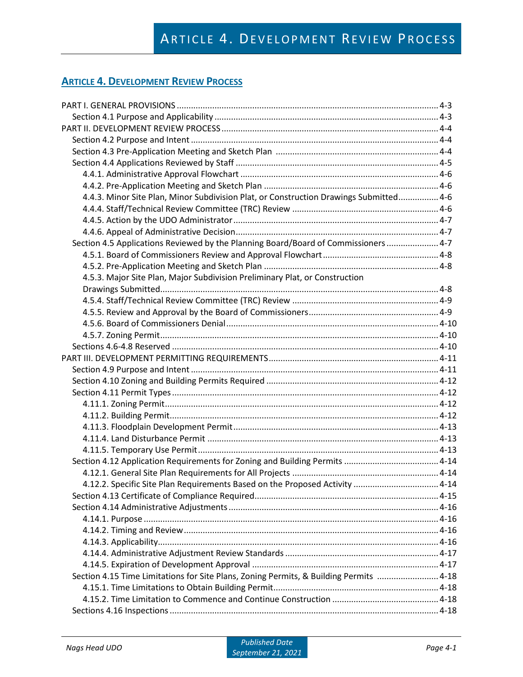# **ARTICLE 4. DEVELOPMENT REVIEW PROCESS**

| 4.4.3. Minor Site Plan, Minor Subdivision Plat, or Construction Drawings Submitted 4-6 |  |
|----------------------------------------------------------------------------------------|--|
|                                                                                        |  |
|                                                                                        |  |
|                                                                                        |  |
| Section 4.5 Applications Reviewed by the Planning Board/Board of Commissioners  4-7    |  |
|                                                                                        |  |
|                                                                                        |  |
| 4.5.3. Major Site Plan, Major Subdivision Preliminary Plat, or Construction            |  |
|                                                                                        |  |
|                                                                                        |  |
|                                                                                        |  |
|                                                                                        |  |
|                                                                                        |  |
|                                                                                        |  |
|                                                                                        |  |
|                                                                                        |  |
|                                                                                        |  |
|                                                                                        |  |
|                                                                                        |  |
|                                                                                        |  |
|                                                                                        |  |
|                                                                                        |  |
|                                                                                        |  |
|                                                                                        |  |
|                                                                                        |  |
| 4.12.2. Specific Site Plan Requirements Based on the Proposed Activity  4-14           |  |
|                                                                                        |  |
|                                                                                        |  |
|                                                                                        |  |
|                                                                                        |  |
|                                                                                        |  |
|                                                                                        |  |
|                                                                                        |  |
| Section 4.15 Time Limitations for Site Plans, Zoning Permits, & Building Permits  4-18 |  |
|                                                                                        |  |
|                                                                                        |  |
|                                                                                        |  |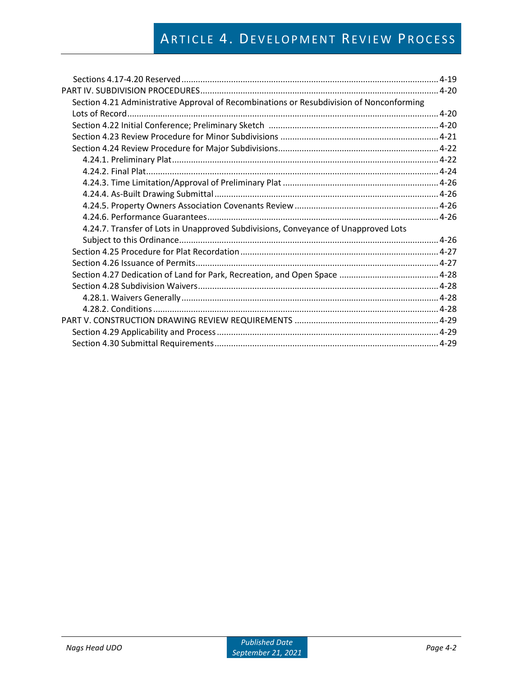# ARTICLE 4. DEVELOPMENT REVIEW PROCESS

| Section 4.21 Administrative Approval of Recombinations or Resubdivision of Nonconforming |  |
|------------------------------------------------------------------------------------------|--|
|                                                                                          |  |
|                                                                                          |  |
|                                                                                          |  |
|                                                                                          |  |
|                                                                                          |  |
|                                                                                          |  |
|                                                                                          |  |
|                                                                                          |  |
|                                                                                          |  |
|                                                                                          |  |
| 4.24.7. Transfer of Lots in Unapproved Subdivisions, Conveyance of Unapproved Lots       |  |
|                                                                                          |  |
|                                                                                          |  |
|                                                                                          |  |
|                                                                                          |  |
|                                                                                          |  |
|                                                                                          |  |
|                                                                                          |  |
|                                                                                          |  |
|                                                                                          |  |
|                                                                                          |  |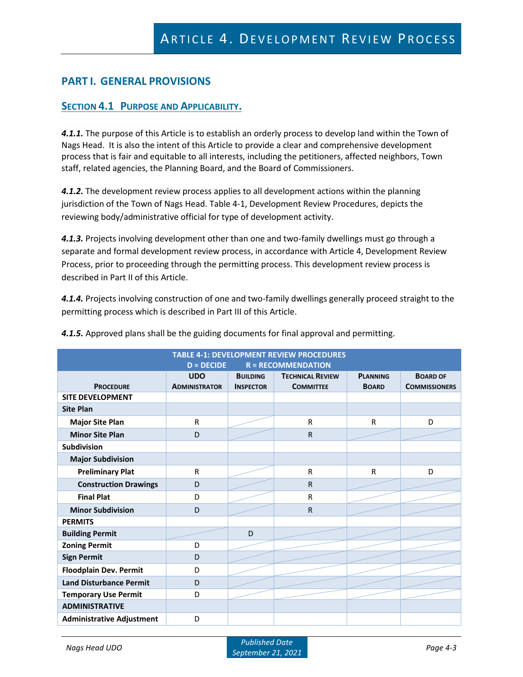# **PART I. GENERAL PROVISIONS**

### **SECTION 4.1 PURPOSE AND APPLICABILITY.**

*4.1.1.* The purpose of this Article is to establish an orderly process to develop land within the Town of Nags Head. It is also the intent of this Article to provide a clear and comprehensive development process that is fair and equitable to all interests, including the petitioners, affected neighbors, Town staff, related agencies, the Planning Board, and the Board of Commissioners.

*4.1.2.* The development review process applies to all development actions within the planning jurisdiction of the Town of Nags Head. Table 4-1, Development Review Procedures, depicts the reviewing body/administrative official for type of development activity.

*4.1.3.* Projects involving development other than one and two-family dwellings must go through a separate and formal development review process, in accordance with Article 4, Development Review Process, prior to proceeding through the permitting process. This development review process is described in Part II of this Article.

*4.1.4.* Projects involving construction of one and two-family dwellings generally proceed straight to the permitting process which is described in Part III of this Article.

| <b>TABLE 4-1: DEVELOPMENT REVIEW PROCEDURES</b><br>$D = DECIDE$<br>$R = RECOMMENDATION$ |                                    |                                     |                                             |                                 |                                         |  |  |  |
|-----------------------------------------------------------------------------------------|------------------------------------|-------------------------------------|---------------------------------------------|---------------------------------|-----------------------------------------|--|--|--|
| <b>PROCEDURE</b>                                                                        | <b>UDO</b><br><b>ADMINISTRATOR</b> | <b>BUILDING</b><br><b>INSPECTOR</b> | <b>TECHNICAL REVIEW</b><br><b>COMMITTEE</b> | <b>PLANNING</b><br><b>BOARD</b> | <b>BOARD OF</b><br><b>COMMISSIONERS</b> |  |  |  |
| <b>SITE DEVELOPMENT</b>                                                                 |                                    |                                     |                                             |                                 |                                         |  |  |  |
| <b>Site Plan</b>                                                                        |                                    |                                     |                                             |                                 |                                         |  |  |  |
| <b>Major Site Plan</b>                                                                  | R                                  |                                     | $\mathsf{R}$                                | ${\sf R}$                       | D                                       |  |  |  |
| <b>Minor Site Plan</b>                                                                  | D                                  |                                     | $\mathsf{R}$                                |                                 |                                         |  |  |  |
| Subdivision                                                                             |                                    |                                     |                                             |                                 |                                         |  |  |  |
| <b>Major Subdivision</b>                                                                |                                    |                                     |                                             |                                 |                                         |  |  |  |
| <b>Preliminary Plat</b>                                                                 | R                                  |                                     | $\mathsf{R}$                                | $\mathsf{R}$                    | D                                       |  |  |  |
| <b>Construction Drawings</b>                                                            | D                                  |                                     | $\mathsf{R}$                                |                                 |                                         |  |  |  |
| <b>Final Plat</b>                                                                       | D                                  |                                     | $\mathsf{R}$                                |                                 |                                         |  |  |  |
| <b>Minor Subdivision</b>                                                                | D                                  |                                     | $\mathsf{R}$                                |                                 |                                         |  |  |  |
| <b>PERMITS</b>                                                                          |                                    |                                     |                                             |                                 |                                         |  |  |  |
| <b>Building Permit</b>                                                                  |                                    | D                                   |                                             |                                 |                                         |  |  |  |
| <b>Zoning Permit</b>                                                                    | D                                  |                                     |                                             |                                 |                                         |  |  |  |
| <b>Sign Permit</b>                                                                      | D                                  |                                     |                                             |                                 |                                         |  |  |  |
| <b>Floodplain Dev. Permit</b>                                                           | D                                  |                                     |                                             |                                 |                                         |  |  |  |
| <b>Land Disturbance Permit</b>                                                          | D                                  |                                     |                                             |                                 |                                         |  |  |  |
| <b>Temporary Use Permit</b>                                                             | D                                  |                                     |                                             |                                 |                                         |  |  |  |
| <b>ADMINISTRATIVE</b>                                                                   |                                    |                                     |                                             |                                 |                                         |  |  |  |
| <b>Administrative Adjustment</b>                                                        | D                                  |                                     |                                             |                                 |                                         |  |  |  |

*4.1.5.* Approved plans shall be the guiding documents for final approval and permitting.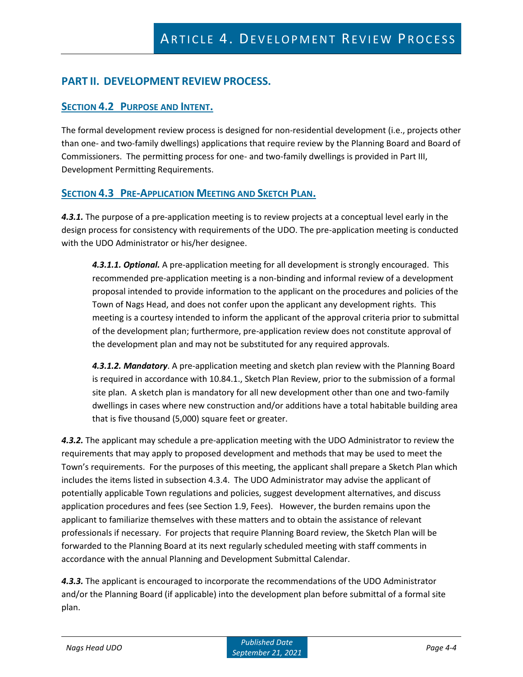# **PART II. DEVELOPMENT REVIEW PROCESS.**

### **SECTION 4.2 PURPOSE AND INTENT.**

The formal development review process is designed for non-residential development (i.e., projects other than one- and two-family dwellings) applications that require review by the Planning Board and Board of Commissioners. The permitting process for one- and two-family dwellings is provided in Part III, Development Permitting Requirements.

### **SECTION 4.3 PRE-APPLICATION MEETING AND SKETCH PLAN.**

*4.3.1.* The purpose of a pre-application meeting is to review projects at a conceptual level early in the design process for consistency with requirements of the UDO. The pre-application meeting is conducted with the UDO Administrator or his/her designee.

*4.3.1.1. Optional.* A pre-application meeting for all development is strongly encouraged. This recommended pre-application meeting is a non-binding and informal review of a development proposal intended to provide information to the applicant on the procedures and policies of the Town of Nags Head, and does not confer upon the applicant any development rights. This meeting is a courtesy intended to inform the applicant of the approval criteria prior to submittal of the development plan; furthermore, pre-application review does not constitute approval of the development plan and may not be substituted for any required approvals.

*4.3.1.2. Mandatory*. A pre-application meeting and sketch plan review with the Planning Board is required in accordance with 10.84.1., Sketch Plan Review, prior to the submission of a formal site plan. A sketch plan is mandatory for all new development other than one and two-family dwellings in cases where new construction and/or additions have a total habitable building area that is five thousand (5,000) square feet or greater.

*4.3.2.* The applicant may schedule a pre-application meeting with the UDO Administrator to review the requirements that may apply to proposed development and methods that may be used to meet the Town's requirements. For the purposes of this meeting, the applicant shall prepare a Sketch Plan which includes the items listed in subsection 4.3.4. The UDO Administrator may advise the applicant of potentially applicable Town regulations and policies, suggest development alternatives, and discuss application procedures and fees (see Section 1.9, Fees). However, the burden remains upon the applicant to familiarize themselves with these matters and to obtain the assistance of relevant professionals if necessary. For projects that require Planning Board review, the Sketch Plan will be forwarded to the Planning Board at its next regularly scheduled meeting with staff comments in accordance with the annual Planning and Development Submittal Calendar.

*4.3.3.* The applicant is encouraged to incorporate the recommendations of the UDO Administrator and/or the Planning Board (if applicable) into the development plan before submittal of a formal site plan.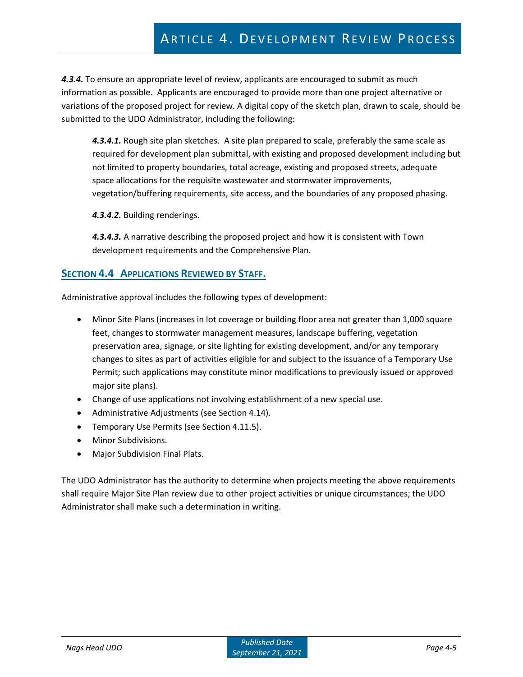# ARTICLE 4. DEVELOPMENT REVIEW PROCESS

*4.3.4.* To ensure an appropriate level of review, applicants are encouraged to submit as much information as possible. Applicants are encouraged to provide more than one project alternative or variations of the proposed project for review. A digital copy of the sketch plan, drawn to scale, should be submitted to the UDO Administrator, including the following:

*4.3.4.1.* Rough site plan sketches. A site plan prepared to scale, preferably the same scale as required for development plan submittal, with existing and proposed development including but not limited to property boundaries, total acreage, existing and proposed streets, adequate space allocations for the requisite wastewater and stormwater improvements, vegetation/buffering requirements, site access, and the boundaries of any proposed phasing.

*4.3.4.2.* Building renderings.

*4.3.4.3.* A narrative describing the proposed project and how it is consistent with Town development requirements and the Comprehensive Plan.

### **SECTION 4.4 APPLICATIONS REVIEWED BY STAFF.**

Administrative approval includes the following types of development:

- Minor Site Plans (increases in lot coverage or building floor area not greater than 1,000 square feet, changes to stormwater management measures, landscape buffering, vegetation preservation area, signage, or site lighting for existing development, and/or any temporary changes to sites as part of activities eligible for and subject to the issuance of a Temporary Use Permit; such applications may constitute minor modifications to previously issued or approved major site plans).
- Change of use applications not involving establishment of a new special use.
- Administrative Adjustments (see Section 4.14).
- Temporary Use Permits (see Section 4.11.5).
- Minor Subdivisions.
- Major Subdivision Final Plats.

The UDO Administrator has the authority to determine when projects meeting the above requirements shall require Major Site Plan review due to other project activities or unique circumstances; the UDO Administrator shall make such a determination in writing.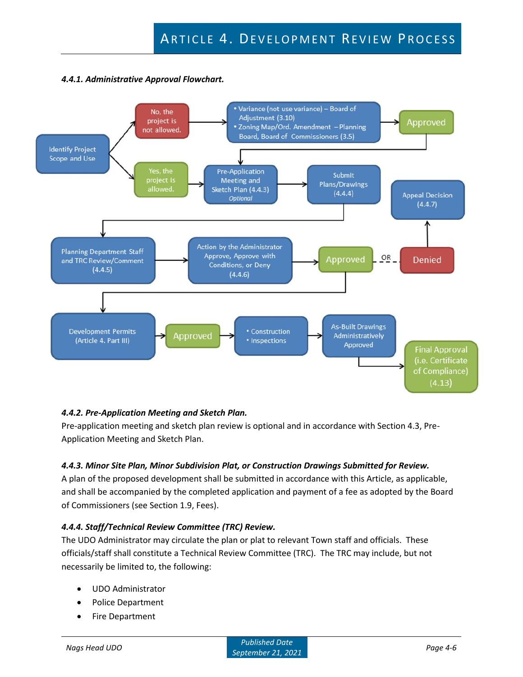#### *4.4.1. Administrative Approval Flowchart.*



### *4.4.2. Pre-Application Meeting and Sketch Plan.*

Pre-application meeting and sketch plan review is optional and in accordance with Section 4.3, Pre-Application Meeting and Sketch Plan.

#### *4.4.3. Minor Site Plan, Minor Subdivision Plat, or Construction Drawings Submitted for Review.*

A plan of the proposed development shall be submitted in accordance with this Article, as applicable, and shall be accompanied by the completed application and payment of a fee as adopted by the Board of Commissioners (see Section 1.9, Fees).

### *4.4.4. Staff/Technical Review Committee (TRC) Review.*

The UDO Administrator may circulate the plan or plat to relevant Town staff and officials. These officials/staff shall constitute a Technical Review Committee (TRC). The TRC may include, but not necessarily be limited to, the following:

- UDO Administrator
- Police Department
- Fire Department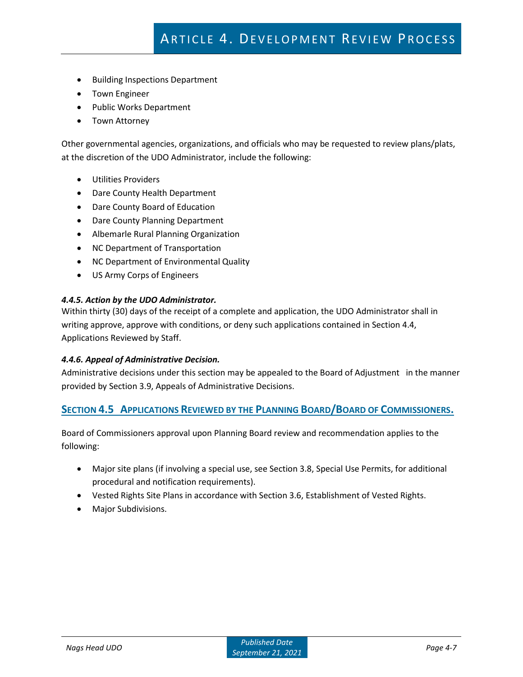- Building Inspections Department
- Town Engineer
- Public Works Department
- Town Attorney

Other governmental agencies, organizations, and officials who may be requested to review plans/plats, at the discretion of the UDO Administrator, include the following:

- Utilities Providers
- Dare County Health Department
- Dare County Board of Education
- Dare County Planning Department
- Albemarle Rural Planning Organization
- NC Department of Transportation
- NC Department of Environmental Quality
- US Army Corps of Engineers

#### *4.4.5. Action by the UDO Administrator.*

Within thirty (30) days of the receipt of a complete and application, the UDO Administrator shall in writing approve, approve with conditions, or deny such applications contained in Section 4.4, Applications Reviewed by Staff.

#### *4.4.6. Appeal of Administrative Decision.*

Administrative decisions under this section may be appealed to the Board of Adjustment in the manner provided by Section 3.9, Appeals of Administrative Decisions.

#### **SECTION 4.5 APPLICATIONS REVIEWED BY THE PLANNING BOARD/BOARD OF COMMISSIONERS.**

Board of Commissioners approval upon Planning Board review and recommendation applies to the following:

- Major site plans (if involving a special use, see Section 3.8, Special Use Permits, for additional procedural and notification requirements).
- Vested Rights Site Plans in accordance with Section 3.6, Establishment of Vested Rights.
- Major Subdivisions.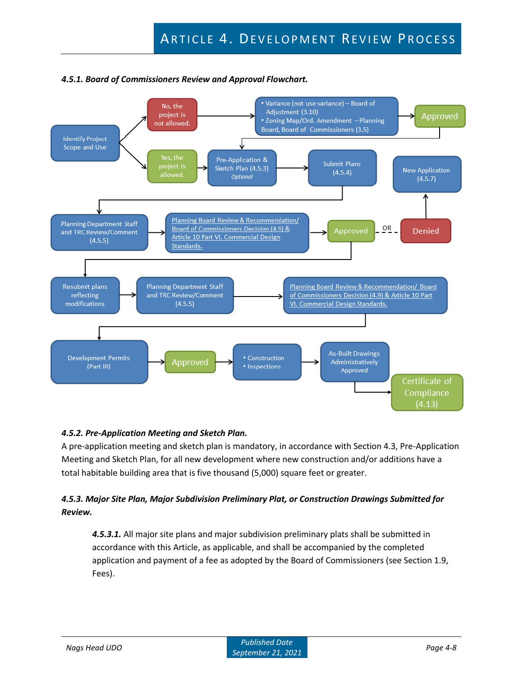

### *4.5.1. Board of Commissioners Review and Approval Flowchart.*

### *4.5.2. Pre-Application Meeting and Sketch Plan.*

A pre-application meeting and sketch plan is mandatory, in accordance with Section 4.3, Pre-Application Meeting and Sketch Plan, for all new development where new construction and/or additions have a total habitable building area that is five thousand (5,000) square feet or greater.

## *4.5.3. Major Site Plan, Major Subdivision Preliminary Plat, or Construction Drawings Submitted for Review.*

*4.5.3.1.* All major site plans and major subdivision preliminary plats shall be submitted in accordance with this Article, as applicable, and shall be accompanied by the completed application and payment of a fee as adopted by the Board of Commissioners (see Section 1.9, Fees).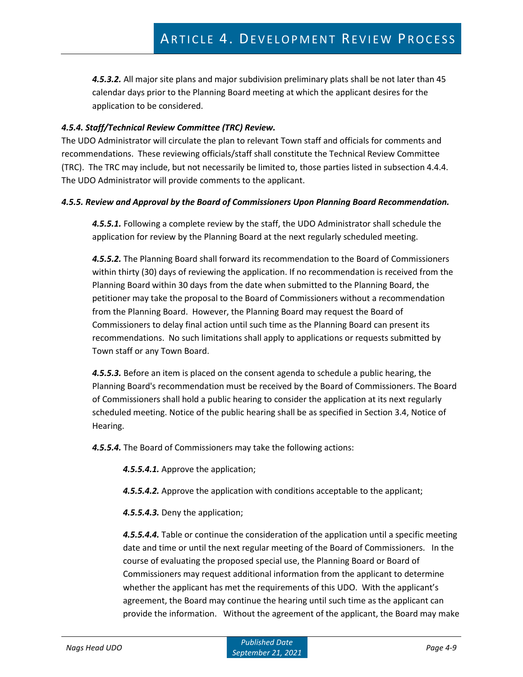*4.5.3.2.* All major site plans and major subdivision preliminary plats shall be not later than 45 calendar days prior to the Planning Board meeting at which the applicant desires for the application to be considered.

#### *4.5.4. Staff/Technical Review Committee (TRC) Review.*

The UDO Administrator will circulate the plan to relevant Town staff and officials for comments and recommendations. These reviewing officials/staff shall constitute the Technical Review Committee (TRC). The TRC may include, but not necessarily be limited to, those parties listed in subsection 4.4.4. The UDO Administrator will provide comments to the applicant.

#### *4.5.5. Review and Approval by the Board of Commissioners Upon Planning Board Recommendation.*

*4.5.5.1.* Following a complete review by the staff, the UDO Administrator shall schedule the application for review by the Planning Board at the next regularly scheduled meeting.

*4.5.5.2.* The Planning Board shall forward its recommendation to the Board of Commissioners within thirty (30) days of reviewing the application. If no recommendation is received from the Planning Board within 30 days from the date when submitted to the Planning Board, the petitioner may take the proposal to the Board of Commissioners without a recommendation from the Planning Board. However, the Planning Board may request the Board of Commissioners to delay final action until such time as the Planning Board can present its recommendations. No such limitations shall apply to applications or requests submitted by Town staff or any Town Board.

*4.5.5.3.* Before an item is placed on the consent agenda to schedule a public hearing, the Planning Board's recommendation must be received by the Board of Commissioners. The Board of Commissioners shall hold a public hearing to consider the application at its next regularly scheduled meeting. Notice of the public hearing shall be as specified in Section 3.4, Notice of Hearing.

*4.5.5.4.* The Board of Commissioners may take the following actions:

*4.5.5.4.1.* Approve the application;

- *4.5.5.4.2.* Approve the application with conditions acceptable to the applicant;
- *4.5.5.4.3.* Deny the application;

*4.5.5.4.4.* Table or continue the consideration of the application until a specific meeting date and time or until the next regular meeting of the Board of Commissioners. In the course of evaluating the proposed special use, the Planning Board or Board of Commissioners may request additional information from the applicant to determine whether the applicant has met the requirements of this UDO. With the applicant's agreement, the Board may continue the hearing until such time as the applicant can provide the information. Without the agreement of the applicant, the Board may make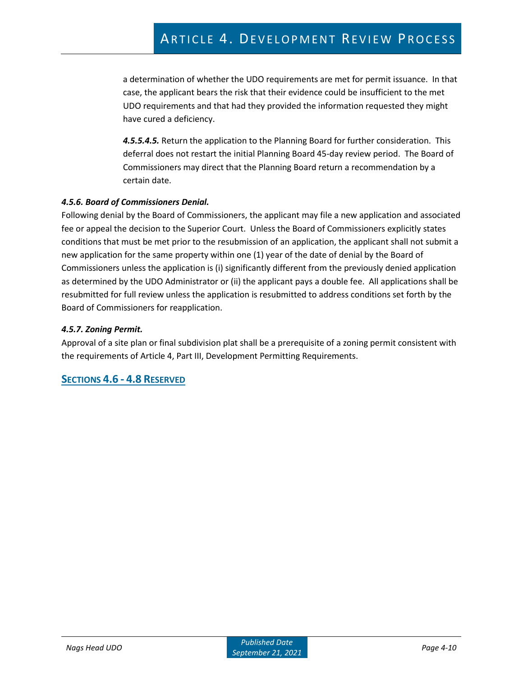a determination of whether the UDO requirements are met for permit issuance. In that case, the applicant bears the risk that their evidence could be insufficient to the met UDO requirements and that had they provided the information requested they might have cured a deficiency.

*4.5.5.4.5.* Return the application to the Planning Board for further consideration. This deferral does not restart the initial Planning Board 45-day review period. The Board of Commissioners may direct that the Planning Board return a recommendation by a certain date.

### *4.5.6. Board of Commissioners Denial.*

Following denial by the Board of Commissioners, the applicant may file a new application and associated fee or appeal the decision to the Superior Court. Unless the Board of Commissioners explicitly states conditions that must be met prior to the resubmission of an application, the applicant shall not submit a new application for the same property within one (1) year of the date of denial by the Board of Commissioners unless the application is (i) significantly different from the previously denied application as determined by the UDO Administrator or (ii) the applicant pays a double fee. All applications shall be resubmitted for full review unless the application is resubmitted to address conditions set forth by the Board of Commissioners for reapplication.

#### *4.5.7. Zoning Permit.*

Approval of a site plan or final subdivision plat shall be a prerequisite of a zoning permit consistent with the requirements of Article 4, Part III, Development Permitting Requirements.

### **SECTIONS 4.6 - 4.8 RESERVED**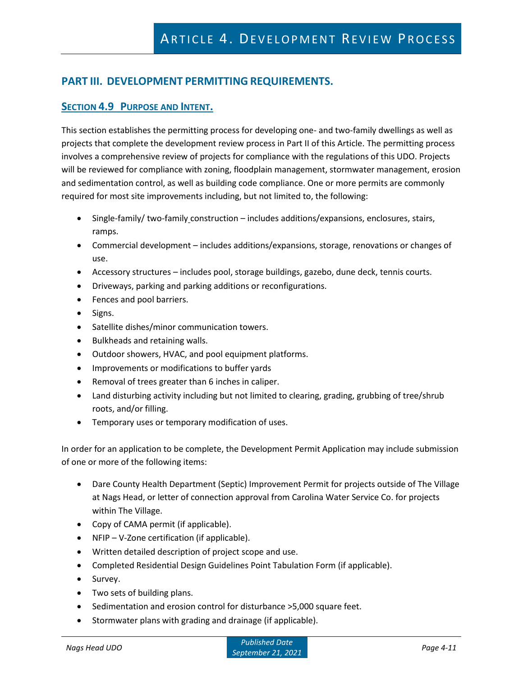# **PART III. DEVELOPMENT PERMITTING REQUIREMENTS.**

### **SECTION 4.9 PURPOSE AND INTENT.**

This section establishes the permitting process for developing one- and two-family dwellings as well as projects that complete the development review process in Part II of this Article. The permitting process involves a comprehensive review of projects for compliance with the regulations of this UDO. Projects will be reviewed for compliance with zoning, floodplain management, stormwater management, erosion and sedimentation control, as well as building code compliance. One or more permits are commonly required for most site improvements including, but not limited to, the following:

- Single-family/ two-family construction includes additions/expansions, enclosures, stairs, ramps.
- Commercial development includes additions/expansions, storage, renovations or changes of use.
- Accessory structures includes pool, storage buildings, gazebo, dune deck, tennis courts.
- Driveways, parking and parking additions or reconfigurations.
- Fences and pool barriers.
- Signs.
- Satellite dishes/minor communication towers.
- Bulkheads and retaining walls.
- Outdoor showers, HVAC, and pool equipment platforms.
- Improvements or modifications to buffer yards
- Removal of trees greater than 6 inches in caliper.
- Land disturbing activity including but not limited to clearing, grading, grubbing of tree/shrub roots, and/or filling.
- Temporary uses or temporary modification of uses.

In order for an application to be complete, the Development Permit Application may include submission of one or more of the following items:

- Dare County Health Department (Septic) Improvement Permit for projects outside of The Village at Nags Head, or letter of connection approval from Carolina Water Service Co. for projects within The Village.
- Copy of CAMA permit (if applicable).
- NFIP V-Zone certification (if applicable).
- Written detailed description of project scope and use.
- Completed Residential Design Guidelines Point Tabulation Form (if applicable).
- Survey.
- Two sets of building plans.
- Sedimentation and erosion control for disturbance >5,000 square feet.
- Stormwater plans with grading and drainage (if applicable).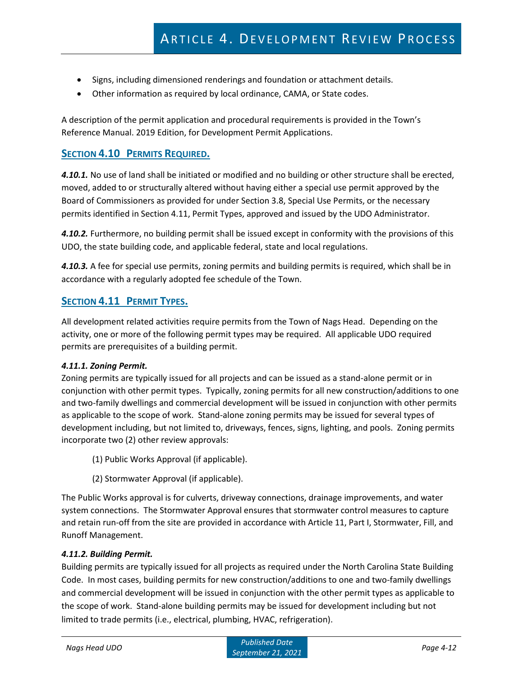- Signs, including dimensioned renderings and foundation or attachment details.
- Other information as required by local ordinance, CAMA, or State codes.

A description of the permit application and procedural requirements is provided in the Town's Reference Manual. 2019 Edition, for Development Permit Applications.

### **SECTION 4.10 PERMITS REQUIRED.**

*4.10.1.* No use of land shall be initiated or modified and no building or other structure shall be erected, moved, added to or structurally altered without having either a special use permit approved by the Board of Commissioners as provided for under Section 3.8, Special Use Permits, or the necessary permits identified in Section 4.11, Permit Types, approved and issued by the UDO Administrator.

*4.10.2.* Furthermore, no building permit shall be issued except in conformity with the provisions of this UDO, the state building code, and applicable federal, state and local regulations.

*4.10.3.* A fee for special use permits, zoning permits and building permits is required, which shall be in accordance with a regularly adopted fee schedule of the Town.

### **SECTION 4.11 PERMIT TYPES.**

All development related activities require permits from the Town of Nags Head. Depending on the activity, one or more of the following permit types may be required. All applicable UDO required permits are prerequisites of a building permit.

#### *4.11.1. Zoning Permit.*

Zoning permits are typically issued for all projects and can be issued as a stand-alone permit or in conjunction with other permit types. Typically, zoning permits for all new construction/additions to one and two-family dwellings and commercial development will be issued in conjunction with other permits as applicable to the scope of work. Stand-alone zoning permits may be issued for several types of development including, but not limited to, driveways, fences, signs, lighting, and pools. Zoning permits incorporate two (2) other review approvals:

- (1) Public Works Approval (if applicable).
- (2) Stormwater Approval (if applicable).

The Public Works approval is for culverts, driveway connections, drainage improvements, and water system connections. The Stormwater Approval ensures that stormwater control measures to capture and retain run-off from the site are provided in accordance with Article 11, Part I, Stormwater, Fill, and Runoff Management.

#### *4.11.2. Building Permit.*

Building permits are typically issued for all projects as required under the North Carolina State Building Code. In most cases, building permits for new construction/additions to one and two-family dwellings and commercial development will be issued in conjunction with the other permit types as applicable to the scope of work. Stand-alone building permits may be issued for development including but not limited to trade permits (i.e., electrical, plumbing, HVAC, refrigeration).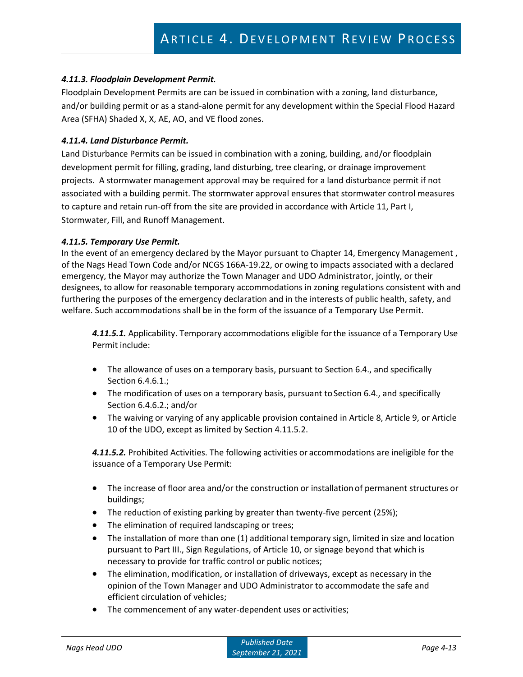#### *4.11.3. Floodplain Development Permit.*

Floodplain Development Permits are can be issued in combination with a zoning, land disturbance, and/or building permit or as a stand-alone permit for any development within the Special Flood Hazard Area (SFHA) Shaded X, X, AE, AO, and VE flood zones.

#### *4.11.4. Land Disturbance Permit.*

Land Disturbance Permits can be issued in combination with a zoning, building, and/or floodplain development permit for filling, grading, land disturbing, tree clearing, or drainage improvement projects. A stormwater management approval may be required for a land disturbance permit if not associated with a building permit. The stormwater approval ensures that stormwater control measures to capture and retain run-off from the site are provided in accordance with Article 11, Part I, Stormwater, Fill, and Runoff Management.

#### *4.11.5. Temporary Use Permit.*

In the event of an emergency declared by the Mayor pursuant to Chapter 14, Emergency Management , of the Nags Head Town Code and/or NCGS 166A-19.22, or owing to impacts associated with a declared emergency, the Mayor may authorize the Town Manager and UDO Administrator, jointly, or their designees, to allow for reasonable temporary accommodations in zoning regulations consistent with and furthering the purposes of the emergency declaration and in the interests of public health, safety, and welfare. Such accommodations shall be in the form of the issuance of a Temporary Use Permit.

*4.11.5.1.* Applicability. Temporary accommodations eligible forthe issuance of a Temporary Use Permit include:

- The allowance of uses on a temporary basis, pursuant to Section 6.4., and specifically Section 6.4.6.1.;
- The modification of uses on a temporary basis, pursuant to Section 6.4., and specifically Section 6.4.6.2.; and/or
- The waiving or varying of any applicable provision contained in Article 8, Article 9, or Article 10 of the UDO, except as limited by Section 4.11.5.2.

*4.11.5.2.* Prohibited Activities. The following activities or accommodations are ineligible for the issuance of a Temporary Use Permit:

- The increase of floor area and/or the construction or installation of permanent structures or buildings;
- The reduction of existing parking by greater than twenty-five percent (25%);
- The elimination of required landscaping or trees;
- The installation of more than one (1) additional temporary sign, limited in size and location pursuant to Part III., Sign Regulations, of Article 10, or signage beyond that which is necessary to provide for traffic control or public notices;
- The elimination, modification, or installation of driveways, except as necessary in the opinion of the Town Manager and UDO Administrator to accommodate the safe and efficient circulation of vehicles;
- The commencement of any water-dependent uses or activities;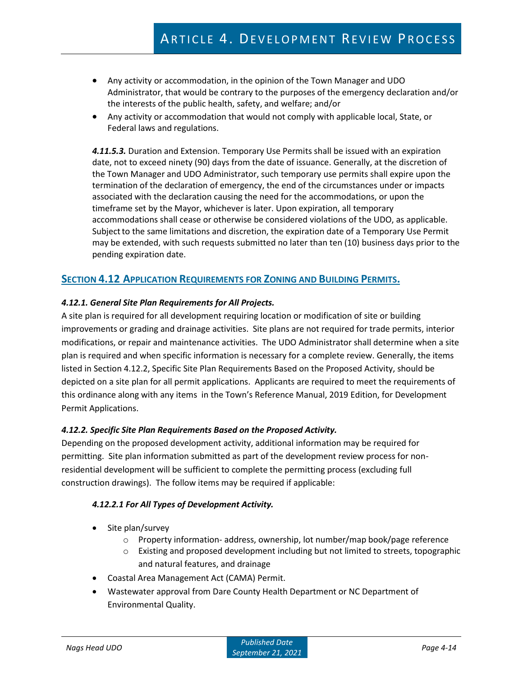- Any activity or accommodation, in the opinion of the Town Manager and UDO Administrator, that would be contrary to the purposes of the emergency declaration and/or the interests of the public health, safety, and welfare; and/or
- Any activity or accommodation that would not comply with applicable local, State, or Federal laws and regulations.

*4.11.5.3.* Duration and Extension. Temporary Use Permits shall be issued with an expiration date, not to exceed ninety (90) days from the date of issuance. Generally, at the discretion of the Town Manager and UDO Administrator, such temporary use permits shall expire upon the termination of the declaration of emergency, the end of the circumstances under or impacts associated with the declaration causing the need for the accommodations, or upon the timeframe set by the Mayor, whichever is later. Upon expiration, all temporary accommodations shall cease or otherwise be considered violations of the UDO, as applicable. Subject to the same limitations and discretion, the expiration date of a Temporary Use Permit may be extended, with such requests submitted no later than ten (10) business days prior to the pending expiration date.

### **SECTION 4.12 APPLICATION REQUIREMENTS FOR ZONING AND BUILDING PERMITS.**

#### *4.12.1. General Site Plan Requirements for All Projects.*

A site plan is required for all development requiring location or modification of site or building improvements or grading and drainage activities. Site plans are not required for trade permits, interior modifications, or repair and maintenance activities. The UDO Administrator shall determine when a site plan is required and when specific information is necessary for a complete review. Generally, the items listed in Section 4.12.2, Specific Site Plan Requirements Based on the Proposed Activity, should be depicted on a site plan for all permit applications. Applicants are required to meet the requirements of this ordinance along with any items in the Town's Reference Manual, 2019 Edition, for Development Permit Applications.

#### *4.12.2. Specific Site Plan Requirements Based on the Proposed Activity.*

Depending on the proposed development activity, additional information may be required for permitting. Site plan information submitted as part of the development review process for nonresidential development will be sufficient to complete the permitting process (excluding full construction drawings). The follow items may be required if applicable:

#### *4.12.2.1 For All Types of Development Activity.*

- Site plan/survey
	- o Property information- address, ownership, lot number/map book/page reference
	- $\circ$  Existing and proposed development including but not limited to streets, topographic and natural features, and drainage
- Coastal Area Management Act (CAMA) Permit.
- Wastewater approval from Dare County Health Department or NC Department of Environmental Quality.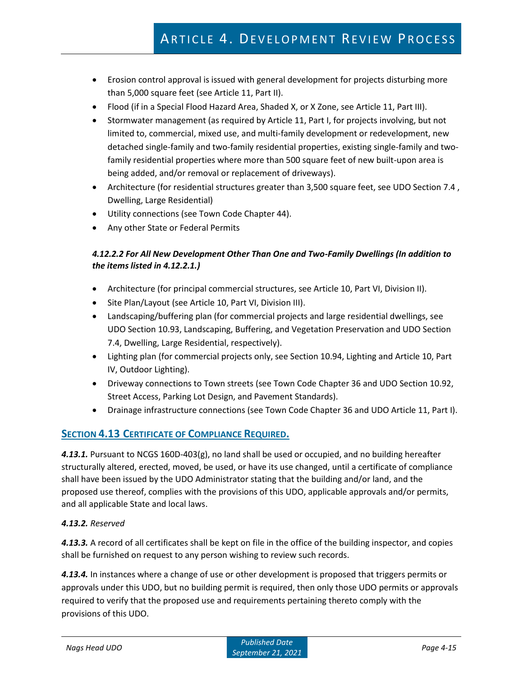- Erosion control approval is issued with general development for projects disturbing more than 5,000 square feet (see Article 11, Part II).
- Flood (if in a Special Flood Hazard Area, Shaded X, or X Zone, see Article 11, Part III).
- Stormwater management (as required by Article 11, Part I, for projects involving, but not limited to, commercial, mixed use, and multi-family development or redevelopment, new detached single-family and two-family residential properties, existing single-family and twofamily residential properties where more than 500 square feet of new built-upon area is being added, and/or removal or replacement of driveways).
- Architecture (for residential structures greater than 3,500 square feet, see UDO Section 7.4, Dwelling, Large Residential)
- Utility connections (see Town Code Chapter 44).
- Any other State or Federal Permits

### *4.12.2.2 For All New Development Other Than One and Two-Family Dwellings (In addition to the items listed in 4.12.2.1.)*

- Architecture (for principal commercial structures, see Article 10, Part VI, Division II).
- Site Plan/Layout (see Article 10, Part VI, Division III).
- Landscaping/buffering plan (for commercial projects and large residential dwellings, see UDO Section 10.93, Landscaping, Buffering, and Vegetation Preservation and UDO Section 7.4, Dwelling, Large Residential, respectively).
- Lighting plan (for commercial projects only, see Section 10.94, Lighting and Article 10, Part IV, Outdoor Lighting).
- Driveway connections to Town streets (see Town Code Chapter 36 and UDO Section 10.92, Street Access, Parking Lot Design, and Pavement Standards).
- Drainage infrastructure connections (see Town Code Chapter 36 and UDO Article 11, Part I).

# **SECTION 4.13 CERTIFICATE OF COMPLIANCE REQUIRED.**

*4.13.1.* Pursuant to NCGS 160D-403(g), no land shall be used or occupied, and no building hereafter structurally altered, erected, moved, be used, or have its use changed, until a certificate of compliance shall have been issued by the UDO Administrator stating that the building and/or land, and the proposed use thereof, complies with the provisions of this UDO, applicable approvals and/or permits, and all applicable State and local laws.

### *4.13.2. Reserved*

*4.13.3.* A record of all certificates shall be kept on file in the office of the building inspector, and copies shall be furnished on request to any person wishing to review such records.

*4.13.4.* In instances where a change of use or other development is proposed that triggers permits or approvals under this UDO, but no building permit is required, then only those UDO permits or approvals required to verify that the proposed use and requirements pertaining thereto comply with the provisions of this UDO.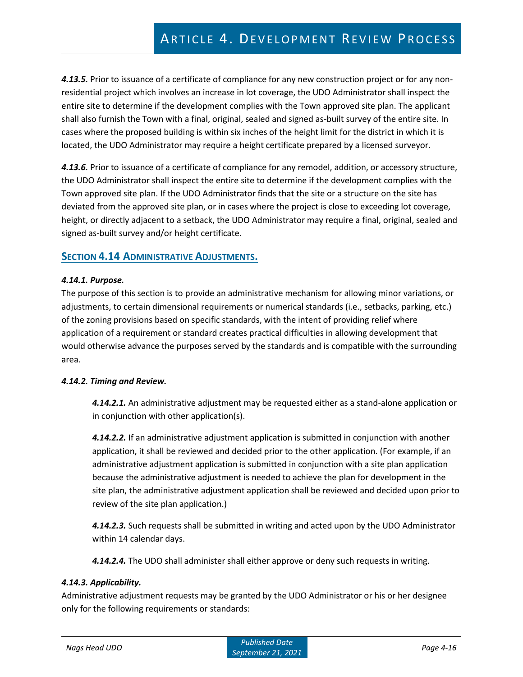*4.13.5.* Prior to issuance of a certificate of compliance for any new construction project or for any nonresidential project which involves an increase in lot coverage, the UDO Administrator shall inspect the entire site to determine if the development complies with the Town approved site plan. The applicant shall also furnish the Town with a final, original, sealed and signed as-built survey of the entire site. In cases where the proposed building is within six inches of the height limit for the district in which it is located, the UDO Administrator may require a height certificate prepared by a licensed surveyor.

*4.13.6.* Prior to issuance of a certificate of compliance for any remodel, addition, or accessory structure, the UDO Administrator shall inspect the entire site to determine if the development complies with the Town approved site plan. If the UDO Administrator finds that the site or a structure on the site has deviated from the approved site plan, or in cases where the project is close to exceeding lot coverage, height, or directly adjacent to a setback, the UDO Administrator may require a final, original, sealed and signed as-built survey and/or height certificate.

### **SECTION 4.14 ADMINISTRATIVE ADJUSTMENTS.**

### *4.14.1. Purpose.*

The purpose of this section is to provide an administrative mechanism for allowing minor variations, or adjustments, to certain dimensional requirements or numerical standards (i.e., setbacks, parking, etc.) of the zoning provisions based on specific standards, with the intent of providing relief where application of a requirement or standard creates practical difficulties in allowing development that would otherwise advance the purposes served by the standards and is compatible with the surrounding area.

### *4.14.2. Timing and Review.*

*4.14.2.1.* An administrative adjustment may be requested either as a stand-alone application or in conjunction with other application(s).

*4.14.2.2.* If an administrative adjustment application is submitted in conjunction with another application, it shall be reviewed and decided prior to the other application. (For example, if an administrative adjustment application is submitted in conjunction with a site plan application because the administrative adjustment is needed to achieve the plan for development in the site plan, the administrative adjustment application shall be reviewed and decided upon prior to review of the site plan application.)

*4.14.2.3.* Such requests shall be submitted in writing and acted upon by the UDO Administrator within 14 calendar days.

*4.14.2.4.* The UDO shall administer shall either approve or deny such requests in writing.

### *4.14.3. Applicability.*

Administrative adjustment requests may be granted by the UDO Administrator or his or her designee only for the following requirements or standards: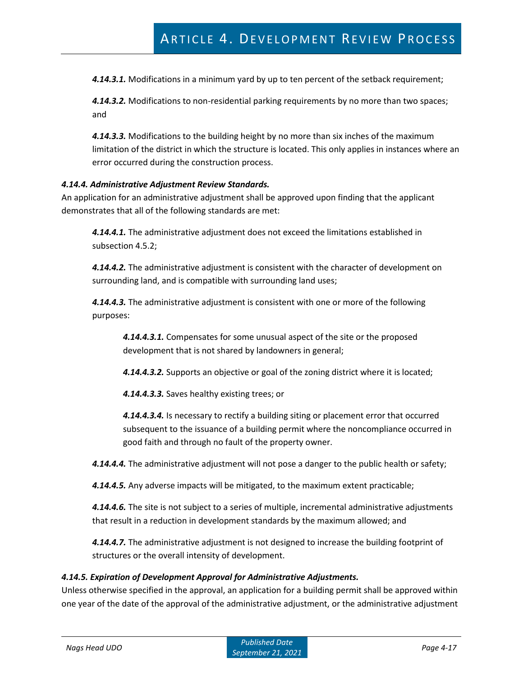*4.14.3.1.* Modifications in a minimum yard by up to ten percent of the setback requirement;

*4.14.3.2.* Modifications to non-residential parking requirements by no more than two spaces; and

*4.14.3.3.* Modifications to the building height by no more than six inches of the maximum limitation of the district in which the structure is located. This only applies in instances where an error occurred during the construction process.

#### *4.14.4. Administrative Adjustment Review Standards.*

An application for an administrative adjustment shall be approved upon finding that the applicant demonstrates that all of the following standards are met:

*4.14.4.1.* The administrative adjustment does not exceed the limitations established in subsection 4.5.2;

*4.14.4.2.* The administrative adjustment is consistent with the character of development on surrounding land, and is compatible with surrounding land uses;

*4.14.4.3.* The administrative adjustment is consistent with one or more of the following purposes:

*4.14.4.3.1.* Compensates for some unusual aspect of the site or the proposed development that is not shared by landowners in general;

*4.14.4.3.2.* Supports an objective or goal of the zoning district where it is located;

*4.14.4.3.3.* Saves healthy existing trees; or

*4.14.4.3.4.* Is necessary to rectify a building siting or placement error that occurred subsequent to the issuance of a building permit where the noncompliance occurred in good faith and through no fault of the property owner.

*4.14.4.4.* The administrative adjustment will not pose a danger to the public health or safety;

*4.14.4.5.* Any adverse impacts will be mitigated, to the maximum extent practicable;

*4.14.4.6.* The site is not subject to a series of multiple, incremental administrative adjustments that result in a reduction in development standards by the maximum allowed; and

*4.14.4.7.* The administrative adjustment is not designed to increase the building footprint of structures or the overall intensity of development.

#### *4.14.5. Expiration of Development Approval for Administrative Adjustments.*

Unless otherwise specified in the approval, an application for a building permit shall be approved within one year of the date of the approval of the administrative adjustment, or the administrative adjustment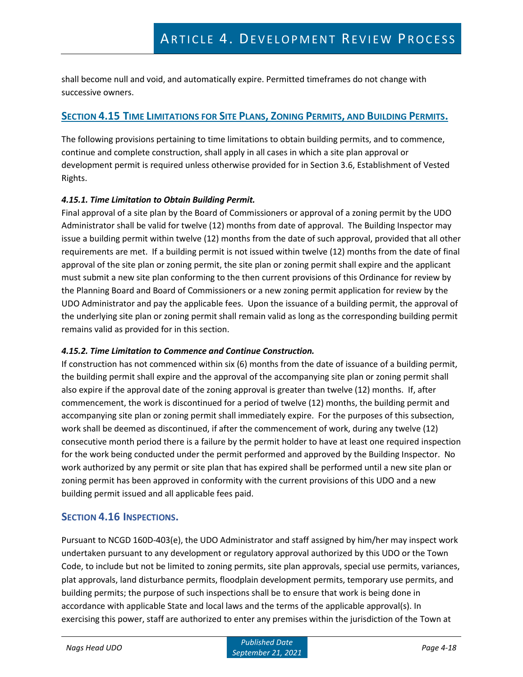shall become null and void, and automatically expire. Permitted timeframes do not change with successive owners.

# SECTION 4.15 TIME LIMITATIONS FOR SITE PLANS, ZONING PERMITS, AND BUILDING PERMITS.

The following provisions pertaining to time limitations to obtain building permits, and to commence, continue and complete construction, shall apply in all cases in which a site plan approval or development permit is required unless otherwise provided for in Section 3.6, Establishment of Vested Rights.

#### *4.15.1. Time Limitation to Obtain Building Permit.*

Final approval of a site plan by the Board of Commissioners or approval of a zoning permit by the UDO Administrator shall be valid for twelve (12) months from date of approval. The Building Inspector may issue a building permit within twelve (12) months from the date of such approval, provided that all other requirements are met. If a building permit is not issued within twelve (12) months from the date of final approval of the site plan or zoning permit, the site plan or zoning permit shall expire and the applicant must submit a new site plan conforming to the then current provisions of this Ordinance for review by the Planning Board and Board of Commissioners or a new zoning permit application for review by the UDO Administrator and pay the applicable fees. Upon the issuance of a building permit, the approval of the underlying site plan or zoning permit shall remain valid as long as the corresponding building permit remains valid as provided for in this section.

### *4.15.2. Time Limitation to Commence and Continue Construction.*

If construction has not commenced within six (6) months from the date of issuance of a building permit, the building permit shall expire and the approval of the accompanying site plan or zoning permit shall also expire if the approval date of the zoning approval is greater than twelve (12) months. If, after commencement, the work is discontinued for a period of twelve (12) months, the building permit and accompanying site plan or zoning permit shall immediately expire. For the purposes of this subsection, work shall be deemed as discontinued, if after the commencement of work, during any twelve (12) consecutive month period there is a failure by the permit holder to have at least one required inspection for the work being conducted under the permit performed and approved by the Building Inspector. No work authorized by any permit or site plan that has expired shall be performed until a new site plan or zoning permit has been approved in conformity with the current provisions of this UDO and a new building permit issued and all applicable fees paid.

### **SECTION 4.16 INSPECTIONS.**

Pursuant to NCGD 160D-403(e), the UDO Administrator and staff assigned by him/her may inspect work undertaken pursuant to any development or regulatory approval authorized by this UDO or the Town Code, to include but not be limited to zoning permits, site plan approvals, special use permits, variances, plat approvals, land disturbance permits, floodplain development permits, temporary use permits, and building permits; the purpose of such inspections shall be to ensure that work is being done in accordance with applicable State and local laws and the terms of the applicable approval(s). In exercising this power, staff are authorized to enter any premises within the jurisdiction of the Town at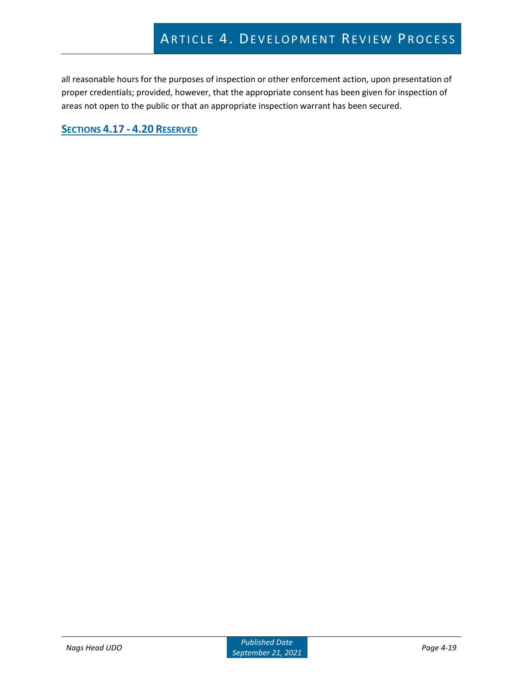all reasonable hours for the purposes of inspection or other enforcement action, upon presentation of proper credentials; provided, however, that the appropriate consent has been given for inspection of areas not open to the public or that an appropriate inspection warrant has been secured.

**SECTIONS 4.17 - 4.20 RESERVED**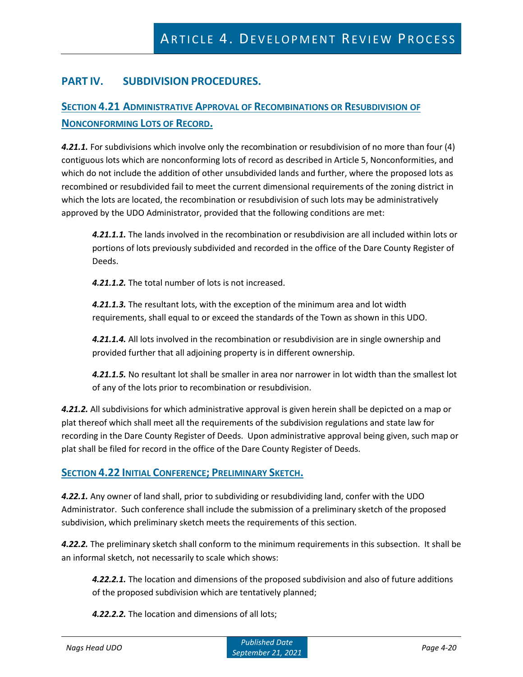# **PART IV. SUBDIVISION PROCEDURES.**

# **SECTION 4.21 ADMINISTRATIVE APPROVAL OF RECOMBINATIONS OR RESUBDIVISION OF NONCONFORMING LOTS OF RECORD.**

4.21.1. For subdivisions which involve only the recombination or resubdivision of no more than four (4) contiguous lots which are nonconforming lots of record as described in Article 5, Nonconformities, and which do not include the addition of other unsubdivided lands and further, where the proposed lots as recombined or resubdivided fail to meet the current dimensional requirements of the zoning district in which the lots are located, the recombination or resubdivision of such lots may be administratively approved by the UDO Administrator, provided that the following conditions are met:

*4.21.1.1.* The lands involved in the recombination or resubdivision are all included within lots or portions of lots previously subdivided and recorded in the office of the Dare County Register of Deeds.

*4.21.1.2.* The total number of lots is not increased.

*4.21.1.3.* The resultant lots, with the exception of the minimum area and lot width requirements, shall equal to or exceed the standards of the Town as shown in this UDO.

*4.21.1.4.* All lots involved in the recombination or resubdivision are in single ownership and provided further that all adjoining property is in different ownership.

*4.21.1.5.* No resultant lot shall be smaller in area nor narrower in lot width than the smallest lot of any of the lots prior to recombination or resubdivision.

*4.21.2.* All subdivisions for which administrative approval is given herein shall be depicted on a map or plat thereof which shall meet all the requirements of the subdivision regulations and state law for recording in the Dare County Register of Deeds. Upon administrative approval being given, such map or plat shall be filed for record in the office of the Dare County Register of Deeds.

### **SECTION 4.22 INITIAL CONFERENCE; PRELIMINARY SKETCH.**

*4.22.1.* Any owner of land shall, prior to subdividing or resubdividing land, confer with the UDO Administrator. Such conference shall include the submission of a preliminary sketch of the proposed subdivision, which preliminary sketch meets the requirements of this section.

*4.22.2.* The preliminary sketch shall conform to the minimum requirements in this subsection. It shall be an informal sketch, not necessarily to scale which shows:

*4.22.2.1.* The location and dimensions of the proposed subdivision and also of future additions of the proposed subdivision which are tentatively planned;

*4.22.2.2.* The location and dimensions of all lots;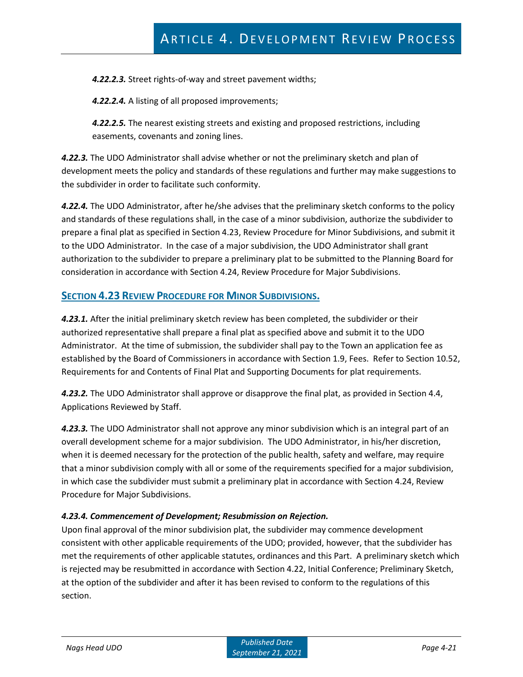*4.22.2.3.* Street rights-of-way and street pavement widths;

*4.22.2.4.* A listing of all proposed improvements;

*4.22.2.5.* The nearest existing streets and existing and proposed restrictions, including easements, covenants and zoning lines.

*4.22.3.* The UDO Administrator shall advise whether or not the preliminary sketch and plan of development meets the policy and standards of these regulations and further may make suggestions to the subdivider in order to facilitate such conformity.

*4.22.4.* The UDO Administrator, after he/she advises that the preliminary sketch conforms to the policy and standards of these regulations shall, in the case of a minor subdivision, authorize the subdivider to prepare a final plat as specified in Section 4.23, Review Procedure for Minor Subdivisions, and submit it to the UDO Administrator. In the case of a major subdivision, the UDO Administrator shall grant authorization to the subdivider to prepare a preliminary plat to be submitted to the Planning Board for consideration in accordance with Section 4.24, Review Procedure for Major Subdivisions.

### **SECTION 4.23 REVIEW PROCEDURE FOR MINOR SUBDIVISIONS.**

*4.23.1.* After the initial preliminary sketch review has been completed, the subdivider or their authorized representative shall prepare a final plat as specified above and submit it to the UDO Administrator. At the time of submission, the subdivider shall pay to the Town an application fee as established by the Board of Commissioners in accordance with Section 1.9, Fees. Refer to Section 10.52, Requirements for and Contents of Final Plat and Supporting Documents for plat requirements.

*4.23.2.* The UDO Administrator shall approve or disapprove the final plat, as provided in Section 4.4, Applications Reviewed by Staff.

*4.23.3.* The UDO Administrator shall not approve any minor subdivision which is an integral part of an overall development scheme for a major subdivision. The UDO Administrator, in his/her discretion, when it is deemed necessary for the protection of the public health, safety and welfare, may require that a minor subdivision comply with all or some of the requirements specified for a major subdivision, in which case the subdivider must submit a preliminary plat in accordance with Section 4.24, Review Procedure for Major Subdivisions.

### *4.23.4. Commencement of Development; Resubmission on Rejection.*

Upon final approval of the minor subdivision plat, the subdivider may commence development consistent with other applicable requirements of the UDO; provided, however, that the subdivider has met the requirements of other applicable statutes, ordinances and this Part. A preliminary sketch which is rejected may be resubmitted in accordance with Section 4.22, Initial Conference; Preliminary Sketch, at the option of the subdivider and after it has been revised to conform to the regulations of this section.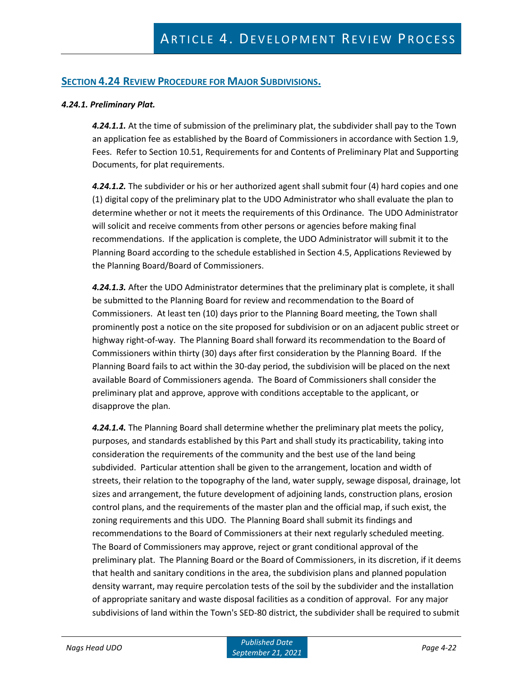### **SECTION 4.24 REVIEW PROCEDURE FOR MAJOR SUBDIVISIONS.**

#### *4.24.1. Preliminary Plat.*

*4.24.1.1.* At the time of submission of the preliminary plat, the subdivider shall pay to the Town an application fee as established by the Board of Commissioners in accordance with Section 1.9, Fees. Refer to Section 10.51, Requirements for and Contents of Preliminary Plat and Supporting Documents, for plat requirements.

*4.24.1.2.* The subdivider or his or her authorized agent shall submit four (4) hard copies and one (1) digital copy of the preliminary plat to the UDO Administrator who shall evaluate the plan to determine whether or not it meets the requirements of this Ordinance. The UDO Administrator will solicit and receive comments from other persons or agencies before making final recommendations. If the application is complete, the UDO Administrator will submit it to the Planning Board according to the schedule established in Section 4.5, Applications Reviewed by the Planning Board/Board of Commissioners.

*4.24.1.3.* After the UDO Administrator determines that the preliminary plat is complete, it shall be submitted to the Planning Board for review and recommendation to the Board of Commissioners. At least ten (10) days prior to the Planning Board meeting, the Town shall prominently post a notice on the site proposed for subdivision or on an adjacent public street or highway right-of-way. The Planning Board shall forward its recommendation to the Board of Commissioners within thirty (30) days after first consideration by the Planning Board. If the Planning Board fails to act within the 30-day period, the subdivision will be placed on the next available Board of Commissioners agenda. The Board of Commissioners shall consider the preliminary plat and approve, approve with conditions acceptable to the applicant, or disapprove the plan.

*4.24.1.4.* The Planning Board shall determine whether the preliminary plat meets the policy, purposes, and standards established by this Part and shall study its practicability, taking into consideration the requirements of the community and the best use of the land being subdivided. Particular attention shall be given to the arrangement, location and width of streets, their relation to the topography of the land, water supply, sewage disposal, drainage, lot sizes and arrangement, the future development of adjoining lands, construction plans, erosion control plans, and the requirements of the master plan and the official map, if such exist, the zoning requirements and this UDO. The Planning Board shall submit its findings and recommendations to the Board of Commissioners at their next regularly scheduled meeting. The Board of Commissioners may approve, reject or grant conditional approval of the preliminary plat. The Planning Board or the Board of Commissioners, in its discretion, if it deems that health and sanitary conditions in the area, the subdivision plans and planned population density warrant, may require percolation tests of the soil by the subdivider and the installation of appropriate sanitary and waste disposal facilities as a condition of approval. For any major subdivisions of land within the Town's SED-80 district, the subdivider shall be required to submit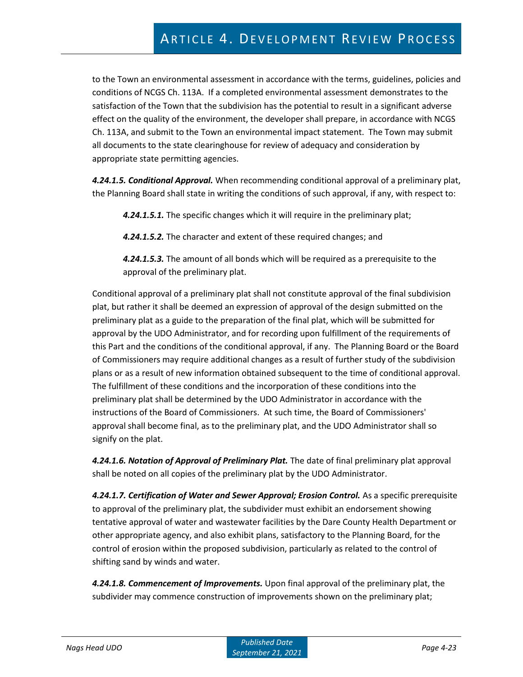# ARTICLE 4. DEVELOPMENT REVIEW PROCESS

to the Town an environmental assessment in accordance with the terms, guidelines, policies and conditions of NCGS Ch. 113A. If a completed environmental assessment demonstrates to the satisfaction of the Town that the subdivision has the potential to result in a significant adverse effect on the quality of the environment, the developer shall prepare, in accordance with NCGS Ch. 113A, and submit to the Town an environmental impact statement. The Town may submit all documents to the state clearinghouse for review of adequacy and consideration by appropriate state permitting agencies.

*4.24.1.5. Conditional Approval.* When recommending conditional approval of a preliminary plat, the Planning Board shall state in writing the conditions of such approval, if any, with respect to:

*4.24.1.5.1.* The specific changes which it will require in the preliminary plat;

*4.24.1.5.2.* The character and extent of these required changes; and

*4.24.1.5.3.* The amount of all bonds which will be required as a prerequisite to the approval of the preliminary plat.

Conditional approval of a preliminary plat shall not constitute approval of the final subdivision plat, but rather it shall be deemed an expression of approval of the design submitted on the preliminary plat as a guide to the preparation of the final plat, which will be submitted for approval by the UDO Administrator, and for recording upon fulfillment of the requirements of this Part and the conditions of the conditional approval, if any. The Planning Board or the Board of Commissioners may require additional changes as a result of further study of the subdivision plans or as a result of new information obtained subsequent to the time of conditional approval. The fulfillment of these conditions and the incorporation of these conditions into the preliminary plat shall be determined by the UDO Administrator in accordance with the instructions of the Board of Commissioners. At such time, the Board of Commissioners' approval shall become final, as to the preliminary plat, and the UDO Administrator shall so signify on the plat.

*4.24.1.6. Notation of Approval of Preliminary Plat.* The date of final preliminary plat approval shall be noted on all copies of the preliminary plat by the UDO Administrator.

*4.24.1.7. Certification of Water and Sewer Approval; Erosion Control.* As a specific prerequisite to approval of the preliminary plat, the subdivider must exhibit an endorsement showing tentative approval of water and wastewater facilities by the Dare County Health Department or other appropriate agency, and also exhibit plans, satisfactory to the Planning Board, for the control of erosion within the proposed subdivision, particularly as related to the control of shifting sand by winds and water.

*4.24.1.8. Commencement of Improvements.* Upon final approval of the preliminary plat, the subdivider may commence construction of improvements shown on the preliminary plat;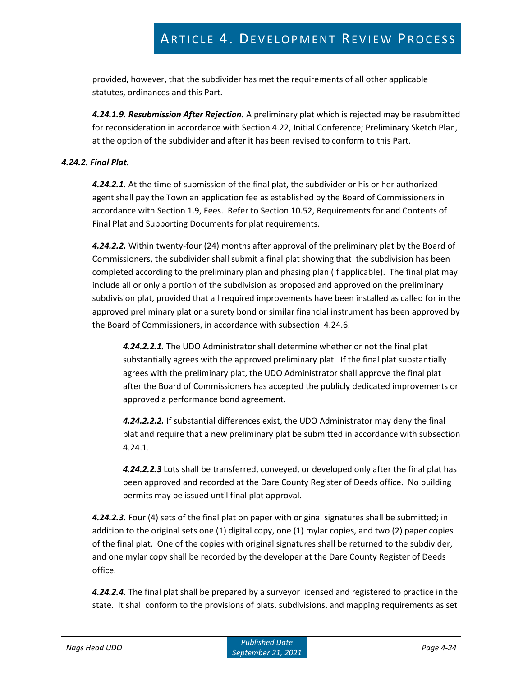provided, however, that the subdivider has met the requirements of all other applicable statutes, ordinances and this Part.

*4.24.1.9. Resubmission After Rejection.* A preliminary plat which is rejected may be resubmitted for reconsideration in accordance with Section 4.22, Initial Conference; Preliminary Sketch Plan, at the option of the subdivider and after it has been revised to conform to this Part.

#### *4.24.2. Final Plat.*

*4.24.2.1.* At the time of submission of the final plat, the subdivider or his or her authorized agent shall pay the Town an application fee as established by the Board of Commissioners in accordance with Section 1.9, Fees. Refer to Section 10.52, Requirements for and Contents of Final Plat and Supporting Documents for plat requirements.

*4.24.2.2.* Within twenty-four (24) months after approval of the preliminary plat by the Board of Commissioners, the subdivider shall submit a final plat showing that the subdivision has been completed according to the preliminary plan and phasing plan (if applicable). The final plat may include all or only a portion of the subdivision as proposed and approved on the preliminary subdivision plat, provided that all required improvements have been installed as called for in the approved preliminary plat or a surety bond or similar financial instrument has been approved by the Board of Commissioners, in accordance with subsection 4.24.6.

*4.24.2.2.1.* The UDO Administrator shall determine whether or not the final plat substantially agrees with the approved preliminary plat. If the final plat substantially agrees with the preliminary plat, the UDO Administrator shall approve the final plat after the Board of Commissioners has accepted the publicly dedicated improvements or approved a performance bond agreement.

*4.24.2.2.2.* If substantial differences exist, the UDO Administrator may deny the final plat and require that a new preliminary plat be submitted in accordance with subsection 4.24.1.

*4.24.2.2.3* Lots shall be transferred, conveyed, or developed only after the final plat has been approved and recorded at the Dare County Register of Deeds office. No building permits may be issued until final plat approval.

*4.24.2.3.* Four (4) sets of the final plat on paper with original signatures shall be submitted; in addition to the original sets one (1) digital copy, one (1) mylar copies, and two (2) paper copies of the final plat. One of the copies with original signatures shall be returned to the subdivider, and one mylar copy shall be recorded by the developer at the Dare County Register of Deeds office.

*4.24.2.4.* The final plat shall be prepared by a surveyor licensed and registered to practice in the state. It shall conform to the provisions of plats, subdivisions, and mapping requirements as set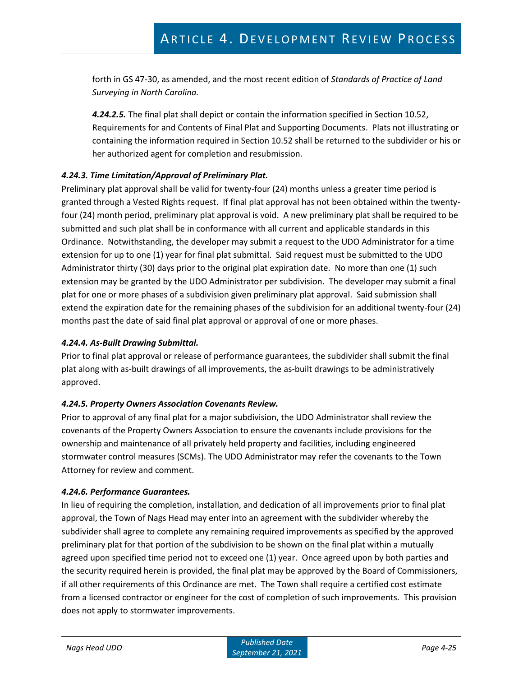forth in GS 47-30, as amended, and the most recent edition of *Standards of Practice of Land Surveying in North Carolina.*

*4.24.2.5.* The final plat shall depict or contain the information specified in Section 10.52, Requirements for and Contents of Final Plat and Supporting Documents. Plats not illustrating or containing the information required in Section 10.52 shall be returned to the subdivider or his or her authorized agent for completion and resubmission.

### *4.24.3. Time Limitation/Approval of Preliminary Plat.*

Preliminary plat approval shall be valid for twenty-four (24) months unless a greater time period is granted through a Vested Rights request. If final plat approval has not been obtained within the twentyfour (24) month period, preliminary plat approval is void. A new preliminary plat shall be required to be submitted and such plat shall be in conformance with all current and applicable standards in this Ordinance. Notwithstanding, the developer may submit a request to the UDO Administrator for a time extension for up to one (1) year for final plat submittal. Said request must be submitted to the UDO Administrator thirty (30) days prior to the original plat expiration date. No more than one (1) such extension may be granted by the UDO Administrator per subdivision. The developer may submit a final plat for one or more phases of a subdivision given preliminary plat approval. Said submission shall extend the expiration date for the remaining phases of the subdivision for an additional twenty-four (24) months past the date of said final plat approval or approval of one or more phases.

#### *4.24.4. As-Built Drawing Submittal.*

Prior to final plat approval or release of performance guarantees, the subdivider shall submit the final plat along with as-built drawings of all improvements, the as-built drawings to be administratively approved.

### *4.24.5. Property Owners Association Covenants Review.*

Prior to approval of any final plat for a major subdivision, the UDO Administrator shall review the covenants of the Property Owners Association to ensure the covenants include provisions for the ownership and maintenance of all privately held property and facilities, including engineered stormwater control measures (SCMs). The UDO Administrator may refer the covenants to the Town Attorney for review and comment.

### *4.24.6. Performance Guarantees.*

In lieu of requiring the completion, installation, and dedication of all improvements prior to final plat approval, the Town of Nags Head may enter into an agreement with the subdivider whereby the subdivider shall agree to complete any remaining required improvements as specified by the approved preliminary plat for that portion of the subdivision to be shown on the final plat within a mutually agreed upon specified time period not to exceed one (1) year. Once agreed upon by both parties and the security required herein is provided, the final plat may be approved by the Board of Commissioners, if all other requirements of this Ordinance are met. The Town shall require a certified cost estimate from a licensed contractor or engineer for the cost of completion of such improvements. This provision does not apply to stormwater improvements.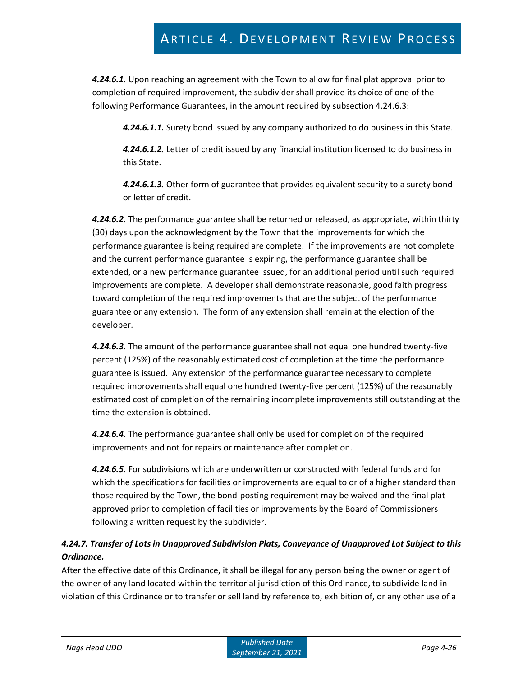*4.24.6.1.* Upon reaching an agreement with the Town to allow for final plat approval prior to completion of required improvement, the subdivider shall provide its choice of one of the following Performance Guarantees, in the amount required by subsection 4.24.6.3:

*4.24.6.1.1.* Surety bond issued by any company authorized to do business in this State.

*4.24.6.1.2.* Letter of credit issued by any financial institution licensed to do business in this State.

*4.24.6.1.3.* Other form of guarantee that provides equivalent security to a surety bond or letter of credit.

*4.24.6.2.* The performance guarantee shall be returned or released, as appropriate, within thirty (30) days upon the acknowledgment by the Town that the improvements for which the performance guarantee is being required are complete. If the improvements are not complete and the current performance guarantee is expiring, the performance guarantee shall be extended, or a new performance guarantee issued, for an additional period until such required improvements are complete. A developer shall demonstrate reasonable, good faith progress toward completion of the required improvements that are the subject of the performance guarantee or any extension. The form of any extension shall remain at the election of the developer.

*4.24.6.3.* The amount of the performance guarantee shall not equal one hundred twenty-five percent (125%) of the reasonably estimated cost of completion at the time the performance guarantee is issued. Any extension of the performance guarantee necessary to complete required improvements shall equal one hundred twenty-five percent (125%) of the reasonably estimated cost of completion of the remaining incomplete improvements still outstanding at the time the extension is obtained.

*4.24.6.4.* The performance guarantee shall only be used for completion of the required improvements and not for repairs or maintenance after completion.

*4.24.6.5.* For subdivisions which are underwritten or constructed with federal funds and for which the specifications for facilities or improvements are equal to or of a higher standard than those required by the Town, the bond-posting requirement may be waived and the final plat approved prior to completion of facilities or improvements by the Board of Commissioners following a written request by the subdivider.

## *4.24.7. Transfer of Lots in Unapproved Subdivision Plats, Conveyance of Unapproved Lot Subject to this Ordinance.*

After the effective date of this Ordinance, it shall be illegal for any person being the owner or agent of the owner of any land located within the territorial jurisdiction of this Ordinance, to subdivide land in violation of this Ordinance or to transfer or sell land by reference to, exhibition of, or any other use of a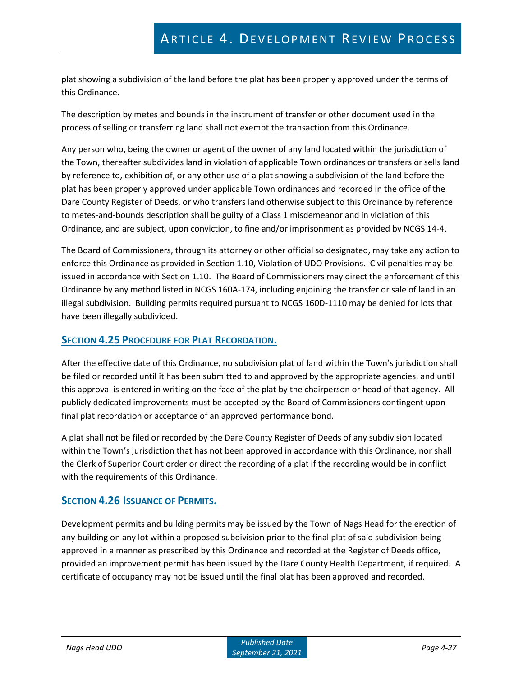plat showing a subdivision of the land before the plat has been properly approved under the terms of this Ordinance.

The description by metes and bounds in the instrument of transfer or other document used in the process of selling or transferring land shall not exempt the transaction from this Ordinance.

Any person who, being the owner or agent of the owner of any land located within the jurisdiction of the Town, thereafter subdivides land in violation of applicable Town ordinances or transfers or sells land by reference to, exhibition of, or any other use of a plat showing a subdivision of the land before the plat has been properly approved under applicable Town ordinances and recorded in the office of the Dare County Register of Deeds, or who transfers land otherwise subject to this Ordinance by reference to metes-and-bounds description shall be guilty of a Class 1 misdemeanor and in violation of this Ordinance, and are subject, upon conviction, to fine and/or imprisonment as provided by NCGS 14-4.

The Board of Commissioners, through its attorney or other official so designated, may take any action to enforce this Ordinance as provided in Section 1.10, Violation of UDO Provisions. Civil penalties may be issued in accordance with Section 1.10. The Board of Commissioners may direct the enforcement of this Ordinance by any method listed in NCGS 160A-174, including enjoining the transfer or sale of land in an illegal subdivision. Building permits required pursuant to NCGS 160D-1110 may be denied for lots that have been illegally subdivided.

### **SECTION 4.25 PROCEDURE FOR PLAT RECORDATION.**

After the effective date of this Ordinance, no subdivision plat of land within the Town's jurisdiction shall be filed or recorded until it has been submitted to and approved by the appropriate agencies, and until this approval is entered in writing on the face of the plat by the chairperson or head of that agency. All publicly dedicated improvements must be accepted by the Board of Commissioners contingent upon final plat recordation or acceptance of an approved performance bond.

A plat shall not be filed or recorded by the Dare County Register of Deeds of any subdivision located within the Town's jurisdiction that has not been approved in accordance with this Ordinance, nor shall the Clerk of Superior Court order or direct the recording of a plat if the recording would be in conflict with the requirements of this Ordinance.

### **SECTION 4.26 ISSUANCE OF PERMITS.**

Development permits and building permits may be issued by the Town of Nags Head for the erection of any building on any lot within a proposed subdivision prior to the final plat of said subdivision being approved in a manner as prescribed by this Ordinance and recorded at the Register of Deeds office, provided an improvement permit has been issued by the Dare County Health Department, if required. A certificate of occupancy may not be issued until the final plat has been approved and recorded.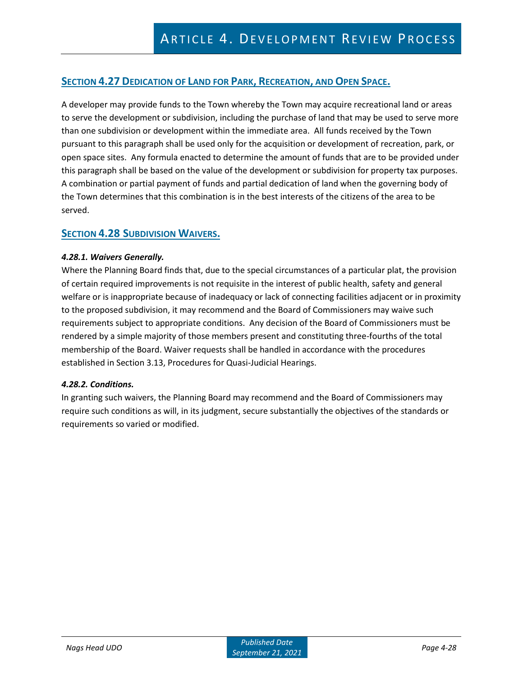### **SECTION 4.27 DEDICATION OF LAND FOR PARK, RECREATION, AND OPEN SPACE.**

A developer may provide funds to the Town whereby the Town may acquire recreational land or areas to serve the development or subdivision, including the purchase of land that may be used to serve more than one subdivision or development within the immediate area. All funds received by the Town pursuant to this paragraph shall be used only for the acquisition or development of recreation, park, or open space sites. Any formula enacted to determine the amount of funds that are to be provided under this paragraph shall be based on the value of the development or subdivision for property tax purposes. A combination or partial payment of funds and partial dedication of land when the governing body of the Town determines that this combination is in the best interests of the citizens of the area to be served.

### **SECTION 4.28 SUBDIVISION WAIVERS.**

#### *4.28.1. Waivers Generally.*

Where the Planning Board finds that, due to the special circumstances of a particular plat, the provision of certain required improvements is not requisite in the interest of public health, safety and general welfare or is inappropriate because of inadequacy or lack of connecting facilities adjacent or in proximity to the proposed subdivision, it may recommend and the Board of Commissioners may waive such requirements subject to appropriate conditions. Any decision of the Board of Commissioners must be rendered by a simple majority of those members present and constituting three-fourths of the total membership of the Board. Waiver requests shall be handled in accordance with the procedures established in Section 3.13, Procedures for Quasi-Judicial Hearings.

#### *4.28.2. Conditions.*

In granting such waivers, the Planning Board may recommend and the Board of Commissioners may require such conditions as will, in its judgment, secure substantially the objectives of the standards or requirements so varied or modified.